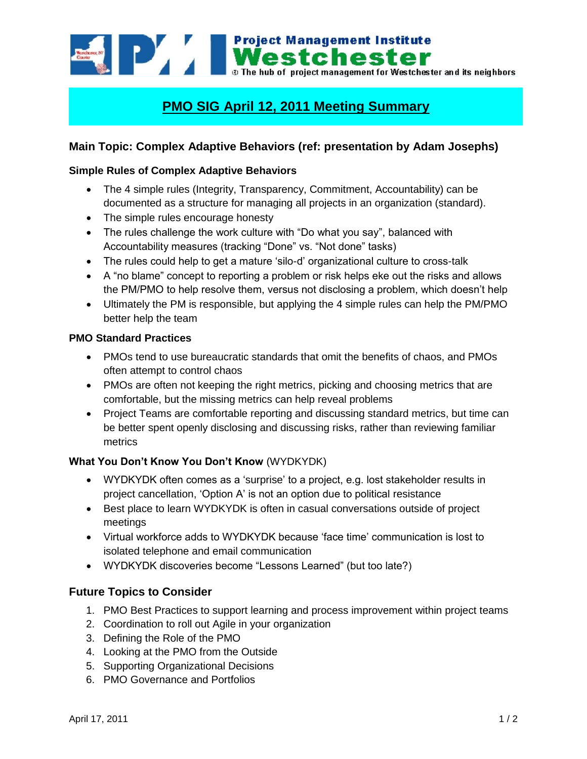

# **PMO SIG April 12, 2011 Meeting Summary**

## **Main Topic: Complex Adaptive Behaviors (ref: presentation by Adam Josephs)**

#### **Simple Rules of Complex Adaptive Behaviors**

- The 4 simple rules (Integrity, Transparency, Commitment, Accountability) can be documented as a structure for managing all projects in an organization (standard).
- The simple rules encourage honesty
- The rules challenge the work culture with "Do what you say", balanced with Accountability measures (tracking "Done" vs. "Not done" tasks)
- The rules could help to get a mature 'silo-d' organizational culture to cross-talk
- A "no blame" concept to reporting a problem or risk helps eke out the risks and allows the PM/PMO to help resolve them, versus not disclosing a problem, which doesn"t help
- Ultimately the PM is responsible, but applying the 4 simple rules can help the PM/PMO better help the team

#### **PMO Standard Practices**

- PMOs tend to use bureaucratic standards that omit the benefits of chaos, and PMOs often attempt to control chaos
- PMOs are often not keeping the right metrics, picking and choosing metrics that are comfortable, but the missing metrics can help reveal problems
- Project Teams are comfortable reporting and discussing standard metrics, but time can be better spent openly disclosing and discussing risks, rather than reviewing familiar metrics

#### **What You Don't Know You Don't Know** (WYDKYDK)

- WYDKYDK often comes as a "surprise" to a project, e.g. lost stakeholder results in project cancellation, "Option A" is not an option due to political resistance
- Best place to learn WYDKYDK is often in casual conversations outside of project meetings
- Virtual workforce adds to WYDKYDK because "face time" communication is lost to isolated telephone and email communication
- WYDKYDK discoveries become "Lessons Learned" (but too late?)

### **Future Topics to Consider**

- 1. PMO Best Practices to support learning and process improvement within project teams
- 2. Coordination to roll out Agile in your organization
- 3. Defining the Role of the PMO
- 4. Looking at the PMO from the Outside
- 5. Supporting Organizational Decisions
- 6. PMO Governance and Portfolios